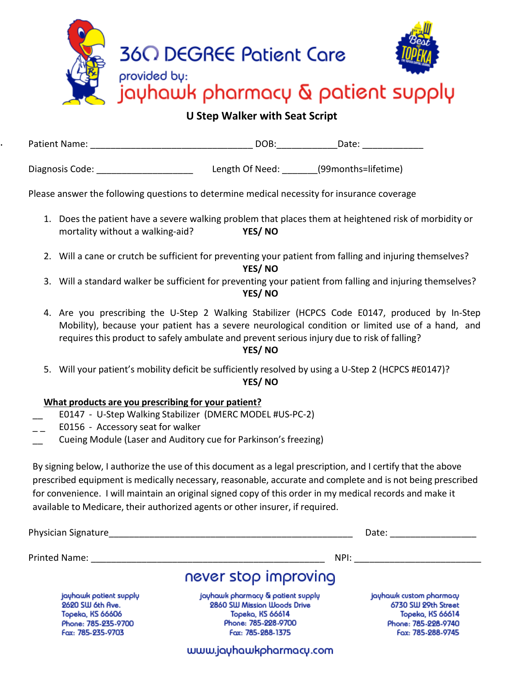

**U Step Walker with Seat Script** 

| Patient Name:   | DOB:            | Date:                  |
|-----------------|-----------------|------------------------|
|                 |                 |                        |
| Diagnosis Code: | Length Of Need: | (99 months = lifetime) |

Please answer the following questions to determine medical necessity for insurance coverage

- 1. Does the patient have a severe walking problem that places them at heightened risk of morbidity or mortality without a walking-aid? **YES/ NO**
- 2. Will a cane or crutch be sufficient for preventing your patient from falling and injuring themselves? **YES/ NO**
- 3. Will a standard walker be sufficient for preventing your patient from falling and injuring themselves? **YES/ NO**
- 4. Are you prescribing the U-Step 2 Walking Stabilizer (HCPCS Code E0147, produced by In-Step Mobility), because your patient has a severe neurological condition or limited use of a hand, and requires this product to safely ambulate and prevent serious injury due to risk of falling?

## **YES/ NO**

5. Will your patient's mobility deficit be sufficiently resolved by using a U-Step 2 (HCPCS #E0147)? **YES/ NO**

## **What products are you prescribing for your patient?**

- \_\_ E0147 U-Step Walking Stabilizer (DMERC MODEL #US-PC-2)
- E0156 Accessory seat for walker

.

Cueing Module (Laser and Auditory cue for Parkinson's freezing)

By signing below, I authorize the use of this document as a legal prescription, and I certify that the above prescribed equipment is medically necessary, reasonable, accurate and complete and is not being prescribed for convenience. I will maintain an original signed copy of this order in my medical records and make it available to Medicare, their authorized agents or other insurer, if required.

| Physician Signature                                                                                        |                                                                                                                                  | Date:                                                                                                          |
|------------------------------------------------------------------------------------------------------------|----------------------------------------------------------------------------------------------------------------------------------|----------------------------------------------------------------------------------------------------------------|
| Printed Name:                                                                                              | NPI:                                                                                                                             |                                                                                                                |
|                                                                                                            | never stop improving                                                                                                             |                                                                                                                |
| jayhawk patient supply<br>2620 SW 6th Ave.<br>Topeka, KS 66606<br>Phone: 785-235-9700<br>Fax: 785-235-9703 | jayhawk pharmacy & patient supply<br>2860 SW Mission Woods Drive<br>Topeka, KS 66614<br>Phone: 785-228-9700<br>Fax: 785-288-1375 | jayhawk custom pharmacy<br>6730 SW 29th Street<br>Topeka, KS 66614<br>Phone: 785-228-9740<br>Fax: 785-288-9745 |
|                                                                                                            | www.jayhawkpharmacy.com                                                                                                          |                                                                                                                |